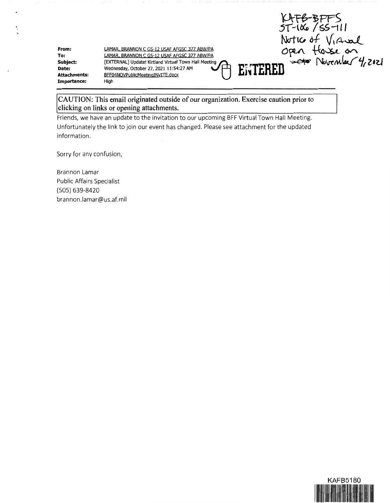KAFB-BFFS<br>5T-106/55-111 Notice of Virual Notic of Virtual<br>Open flosse on<br>n <del>acte</del> Nevember 4, 2021 ENTERED

**From: To: Subject: Date: Attachments: Importance:** 

LAMAR, BRANNON C GS-12 USAF AFGSC 377 ABW/PA LAMAR. BRANNON C GS-12 USAF AFGSC 377 ABW/PA [EXTERNAL] Update! Kirtland Virtual Town Hall Meeting Wednesday, October 27, 2021 11:54:27 AM BFF04NOVPublicMeetinqINVITE.docx High

**CAUTION: This email originated outside of our organization. Exercise caution prior to clicking on links or opening attachments.** 

Friends, we have an update to the invitation to our upcoming BFF Virtual Town Hall Meeting. Unfortunately the link to join our event has changed. Please see attachment for the updated information.

Sorry for any confusion,

Brannon Lamar Public Affairs Specialist (505) 639-8420 brannon.lamar@us.af.mil